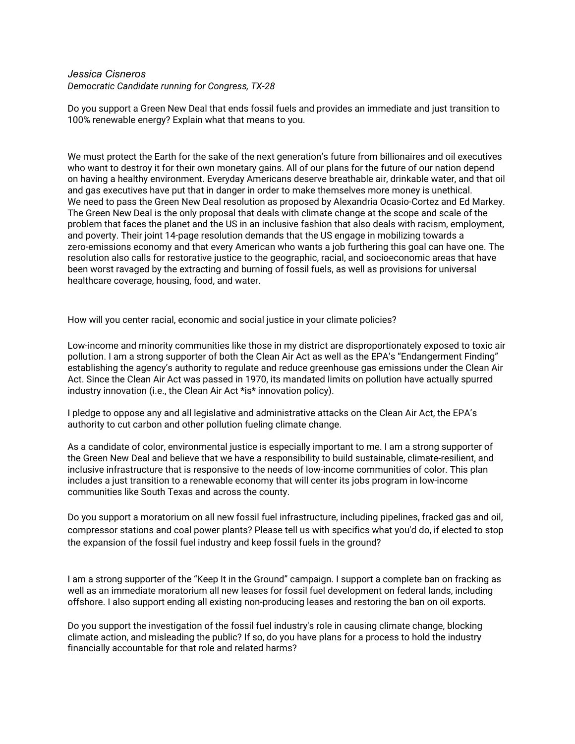## *Jessica Cisneros Democratic Candidate running for Congress, TX-28*

Do you support a Green New Deal that ends fossil fuels and provides an immediate and just transition to 100% renewable energy? Explain what that means to you.

We must protect the Earth for the sake of the next generation's future from billionaires and oil executives who want to destroy it for their own monetary gains. All of our plans for the future of our nation depend on having a healthy environment. Everyday Americans deserve breathable air, drinkable water, and that oil and gas executives have put that in danger in order to make themselves more money is unethical. We need to pass the Green New Deal resolution as proposed by Alexandria Ocasio-Cortez and Ed Markey. The Green New Deal is the only proposal that deals with climate change at the scope and scale of the problem that faces the planet and the US in an inclusive fashion that also deals with racism, employment, and poverty. Their joint 14-page resolution demands that the US engage in mobilizing towards a zero-emissions economy and that every American who wants a job furthering this goal can have one. The resolution also calls for restorative justice to the geographic, racial, and socioeconomic areas that have been worst ravaged by the extracting and burning of fossil fuels, as well as provisions for universal healthcare coverage, housing, food, and water.

How will you center racial, economic and social justice in your climate policies?

Low-income and minority communities like those in my district are disproportionately exposed to toxic air pollution. I am a strong supporter of both the Clean Air Act as well as the EPA's "Endangerment Finding" establishing the agency's authority to regulate and reduce greenhouse gas emissions under the Clean Air Act. Since the Clean Air Act was passed in 1970, its mandated limits on pollution have actually spurred industry innovation (i.e., the Clean Air Act \*is\* innovation policy).

I pledge to oppose any and all legislative and administrative attacks on the Clean Air Act, the EPA's authority to cut carbon and other pollution fueling climate change.

As a candidate of color, environmental justice is especially important to me. I am a strong supporter of the Green New Deal and believe that we have a responsibility to build sustainable, climate-resilient, and inclusive infrastructure that is responsive to the needs of low-income communities of color. This plan includes a just transition to a renewable economy that will center its jobs program in low-income communities like South Texas and across the county.

Do you support a moratorium on all new fossil fuel infrastructure, including pipelines, fracked gas and oil, compressor stations and coal power plants? Please tell us with specifics what you'd do, if elected to stop the expansion of the fossil fuel industry and keep fossil fuels in the ground?

I am a strong supporter of the "Keep It in the Ground" campaign. I support a complete ban on fracking as well as an immediate moratorium all new leases for fossil fuel development on federal lands, including offshore. I also support ending all existing non-producing leases and restoring the ban on oil exports.

Do you support the investigation of the fossil fuel industry's role in causing climate change, blocking climate action, and misleading the public? If so, do you have plans for a process to hold the industry financially accountable for that role and related harms?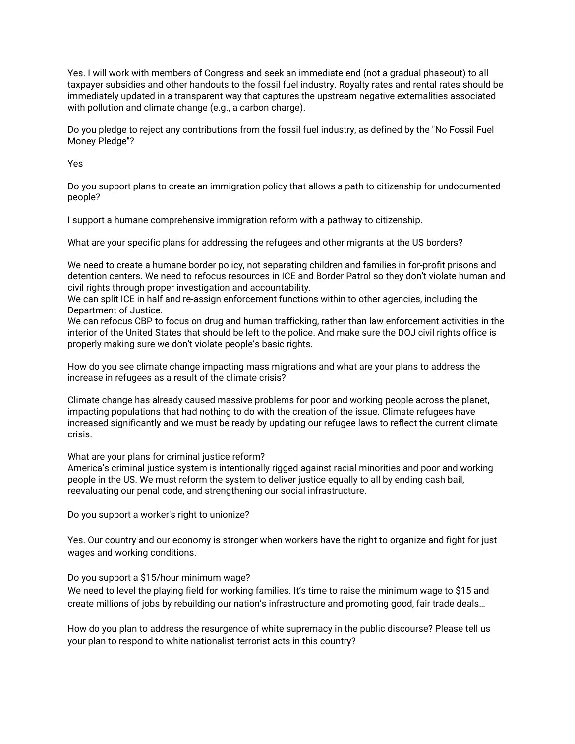Yes. I will work with members of Congress and seek an immediate end (not a gradual phaseout) to all taxpayer subsidies and other handouts to the fossil fuel industry. Royalty rates and rental rates should be immediately updated in a transparent way that captures the upstream negative externalities associated with pollution and climate change (e.g., a carbon charge).

Do you pledge to reject any contributions from the fossil fuel industry, as defined by the "No Fossil Fuel Money Pledge"?

Yes

Do you support plans to create an immigration policy that allows a path to citizenship for undocumented people?

I support a humane comprehensive immigration reform with a pathway to citizenship.

What are your specific plans for addressing the refugees and other migrants at the US borders?

We need to create a humane border policy, not separating children and families in for-profit prisons and detention centers. We need to refocus resources in ICE and Border Patrol so they don't violate human and civil rights through proper investigation and accountability.

We can split ICE in half and re-assign enforcement functions within to other agencies, including the Department of Justice.

We can refocus CBP to focus on drug and human trafficking, rather than law enforcement activities in the interior of the United States that should be left to the police. And make sure the DOJ civil rights office is properly making sure we don't violate people's basic rights.

How do you see climate change impacting mass migrations and what are your plans to address the increase in refugees as a result of the climate crisis?

Climate change has already caused massive problems for poor and working people across the planet, impacting populations that had nothing to do with the creation of the issue. Climate refugees have increased significantly and we must be ready by updating our refugee laws to reflect the current climate crisis.

What are your plans for criminal justice reform?

America's criminal justice system is intentionally rigged against racial minorities and poor and working people in the US. We must reform the system to deliver justice equally to all by ending cash bail, reevaluating our penal code, and strengthening our social infrastructure.

Do you support a worker's right to unionize?

Yes. Our country and our economy is stronger when workers have the right to organize and fight for just wages and working conditions.

Do you support a \$15/hour minimum wage?

We need to level the playing field for working families. It's time to raise the minimum wage to \$15 and create millions of jobs by rebuilding our nation's infrastructure and promoting good, fair trade deals…

How do you plan to address the resurgence of white supremacy in the public discourse? Please tell us your plan to respond to white nationalist terrorist acts in this country?